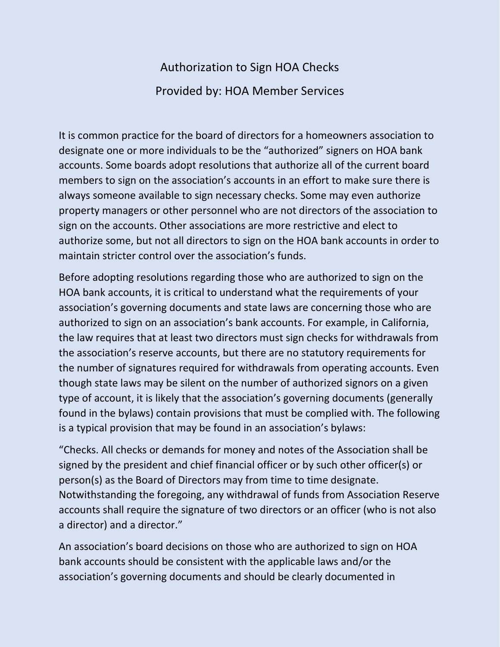## Authorization to Sign HOA Checks Provided by: HOA Member Services

It is common practice for the board of directors for a homeowners association to designate one or more individuals to be the "authorized" signers on HOA bank accounts. Some boards adopt resolutions that authorize all of the current board members to sign on the association's accounts in an effort to make sure there is always someone available to sign necessary checks. Some may even authorize property managers or other personnel who are not directors of the association to sign on the accounts. Other associations are more restrictive and elect to authorize some, but not all directors to sign on the HOA bank accounts in order to maintain stricter control over the association's funds.

Before adopting resolutions regarding those who are authorized to sign on the HOA bank accounts, it is critical to understand what the requirements of your association's governing documents and state laws are concerning those who are authorized to sign on an association's bank accounts. For example, in California, the law requires that at least two directors must sign checks for withdrawals from the association's reserve accounts, but there are no statutory requirements for the number of signatures required for withdrawals from operating accounts. Even though state laws may be silent on the number of authorized signors on a given type of account, it is likely that the association's governing documents (generally found in the bylaws) contain provisions that must be complied with. The following is a typical provision that may be found in an association's bylaws:

"Checks. All checks or demands for money and notes of the Association shall be signed by the president and chief financial officer or by such other officer(s) or person(s) as the Board of Directors may from time to time designate. Notwithstanding the foregoing, any withdrawal of funds from Association Reserve accounts shall require the signature of two directors or an officer (who is not also a director) and a director."

An association's board decisions on those who are authorized to sign on HOA bank accounts should be consistent with the applicable laws and/or the association's governing documents and should be clearly documented in